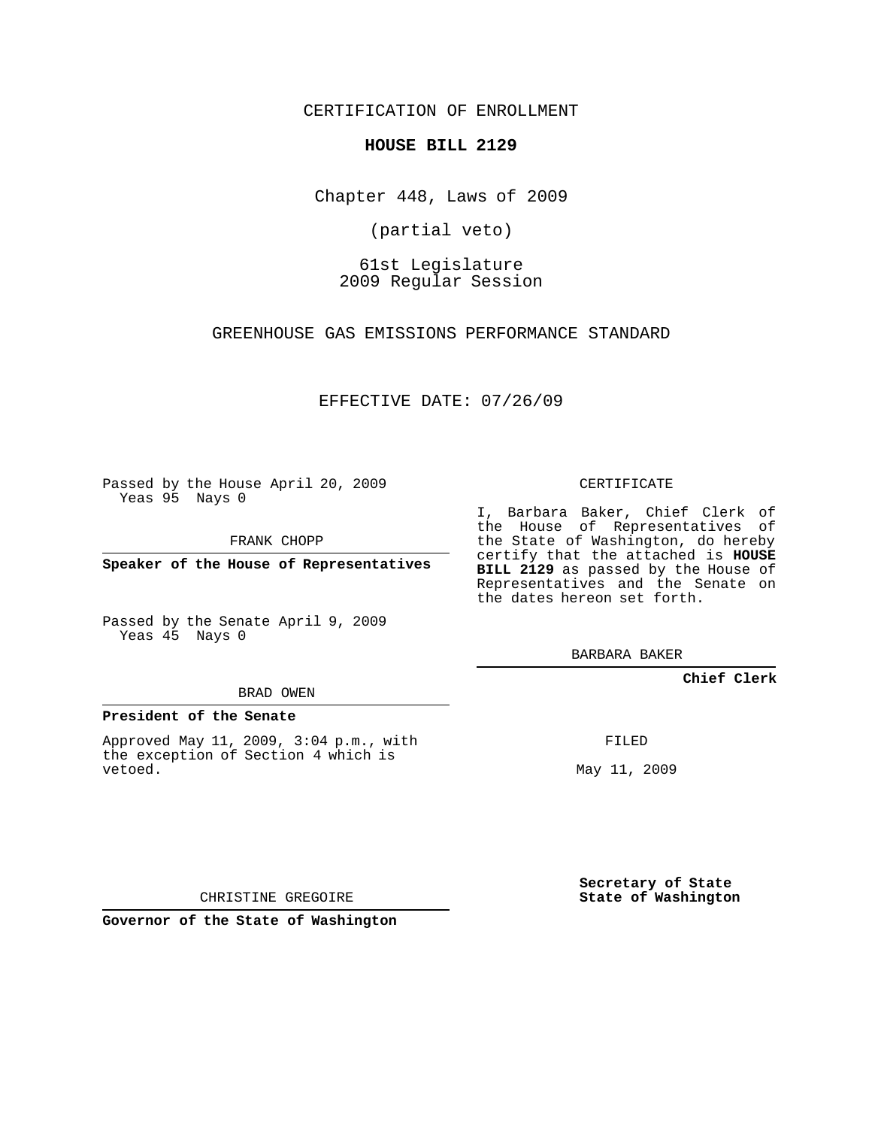CERTIFICATION OF ENROLLMENT

## **HOUSE BILL 2129**

Chapter 448, Laws of 2009

(partial veto)

61st Legislature 2009 Regular Session

GREENHOUSE GAS EMISSIONS PERFORMANCE STANDARD

EFFECTIVE DATE: 07/26/09

Passed by the House April 20, 2009 Yeas 95 Nays 0

FRANK CHOPP

**Speaker of the House of Representatives**

Passed by the Senate April 9, 2009 Yeas 45 Nays 0

#### BRAD OWEN

### **President of the Senate**

Approved May 11, 2009, 3:04 p.m., with the exception of Section 4 which is vetoed.

CERTIFICATE

I, Barbara Baker, Chief Clerk of the House of Representatives of the State of Washington, do hereby certify that the attached is **HOUSE BILL 2129** as passed by the House of Representatives and the Senate on the dates hereon set forth.

BARBARA BAKER

**Chief Clerk**

FILED

May 11, 2009

**Secretary of State State of Washington**

CHRISTINE GREGOIRE

**Governor of the State of Washington**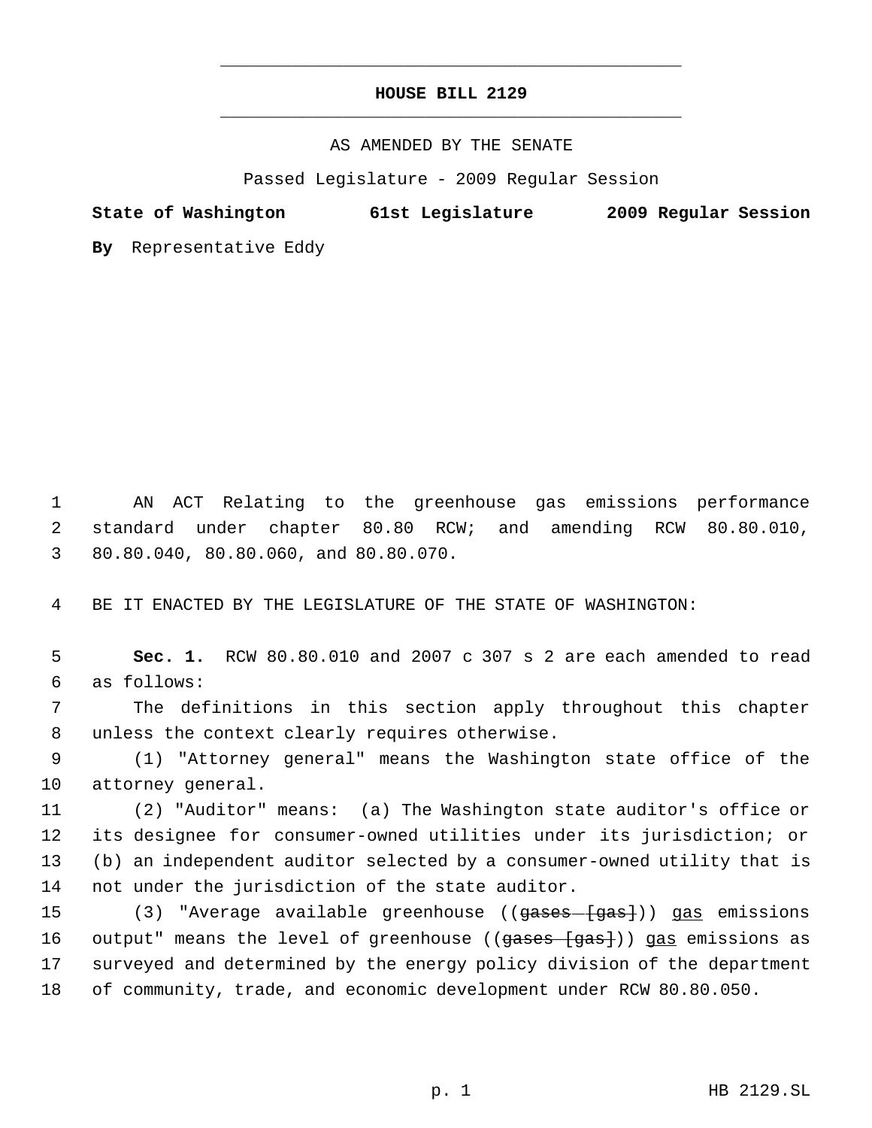# **HOUSE BILL 2129** \_\_\_\_\_\_\_\_\_\_\_\_\_\_\_\_\_\_\_\_\_\_\_\_\_\_\_\_\_\_\_\_\_\_\_\_\_\_\_\_\_\_\_\_\_

\_\_\_\_\_\_\_\_\_\_\_\_\_\_\_\_\_\_\_\_\_\_\_\_\_\_\_\_\_\_\_\_\_\_\_\_\_\_\_\_\_\_\_\_\_

## AS AMENDED BY THE SENATE

Passed Legislature - 2009 Regular Session

**State of Washington 61st Legislature 2009 Regular Session**

**By** Representative Eddy

 AN ACT Relating to the greenhouse gas emissions performance standard under chapter 80.80 RCW; and amending RCW 80.80.010, 80.80.040, 80.80.060, and 80.80.070.

BE IT ENACTED BY THE LEGISLATURE OF THE STATE OF WASHINGTON:

 **Sec. 1.** RCW 80.80.010 and 2007 c 307 s 2 are each amended to read as follows:

 The definitions in this section apply throughout this chapter unless the context clearly requires otherwise.

 (1) "Attorney general" means the Washington state office of the attorney general.

 (2) "Auditor" means: (a) The Washington state auditor's office or its designee for consumer-owned utilities under its jurisdiction; or (b) an independent auditor selected by a consumer-owned utility that is not under the jurisdiction of the state auditor.

15 (3) "Average available greenhouse ((<del>gases [gas]</del>)) <u>gas</u> emissions 16 output" means the level of greenhouse ((gases [gas])) gas emissions as surveyed and determined by the energy policy division of the department of community, trade, and economic development under RCW 80.80.050.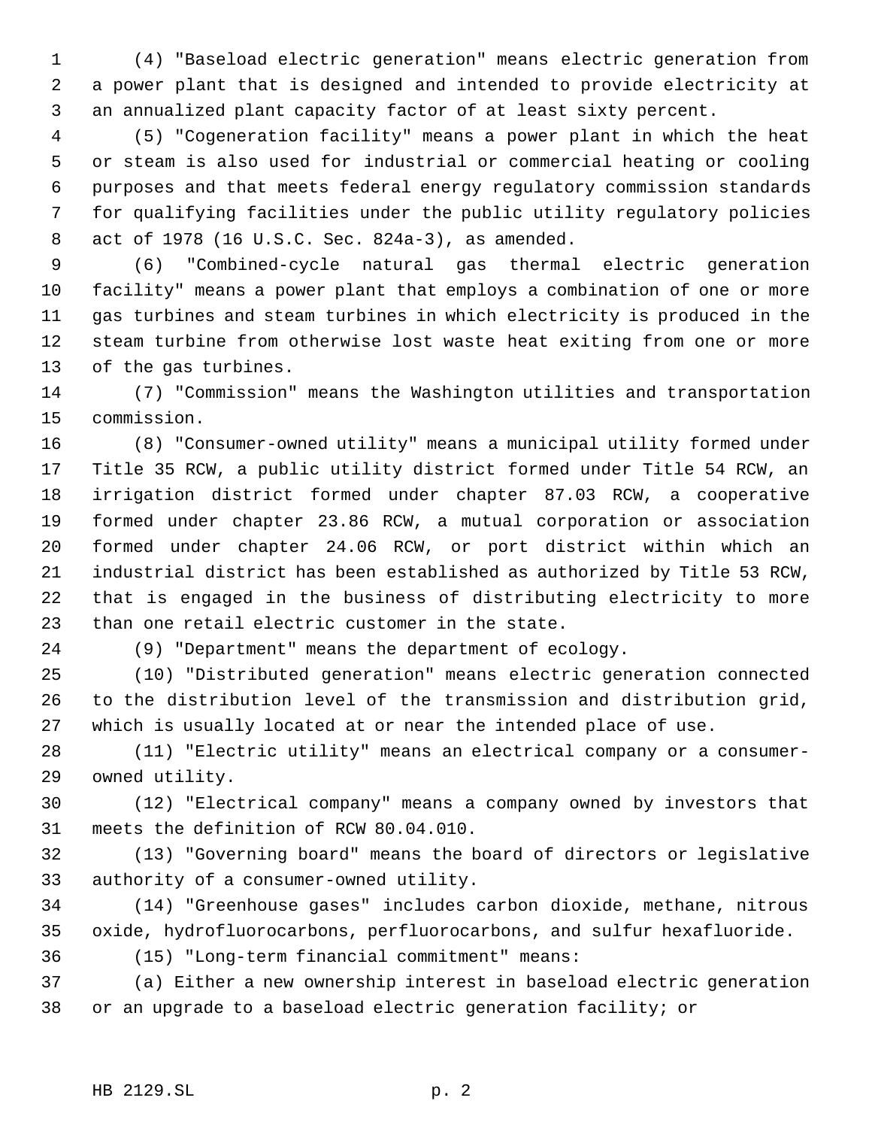(4) "Baseload electric generation" means electric generation from a power plant that is designed and intended to provide electricity at an annualized plant capacity factor of at least sixty percent.

 (5) "Cogeneration facility" means a power plant in which the heat or steam is also used for industrial or commercial heating or cooling purposes and that meets federal energy regulatory commission standards for qualifying facilities under the public utility regulatory policies act of 1978 (16 U.S.C. Sec. 824a-3), as amended.

 (6) "Combined-cycle natural gas thermal electric generation facility" means a power plant that employs a combination of one or more gas turbines and steam turbines in which electricity is produced in the steam turbine from otherwise lost waste heat exiting from one or more of the gas turbines.

 (7) "Commission" means the Washington utilities and transportation commission.

 (8) "Consumer-owned utility" means a municipal utility formed under Title 35 RCW, a public utility district formed under Title 54 RCW, an irrigation district formed under chapter 87.03 RCW, a cooperative formed under chapter 23.86 RCW, a mutual corporation or association formed under chapter 24.06 RCW, or port district within which an industrial district has been established as authorized by Title 53 RCW, that is engaged in the business of distributing electricity to more than one retail electric customer in the state.

(9) "Department" means the department of ecology.

 (10) "Distributed generation" means electric generation connected to the distribution level of the transmission and distribution grid, which is usually located at or near the intended place of use.

 (11) "Electric utility" means an electrical company or a consumer-owned utility.

 (12) "Electrical company" means a company owned by investors that meets the definition of RCW 80.04.010.

 (13) "Governing board" means the board of directors or legislative authority of a consumer-owned utility.

 (14) "Greenhouse gases" includes carbon dioxide, methane, nitrous oxide, hydrofluorocarbons, perfluorocarbons, and sulfur hexafluoride.

(15) "Long-term financial commitment" means:

 (a) Either a new ownership interest in baseload electric generation or an upgrade to a baseload electric generation facility; or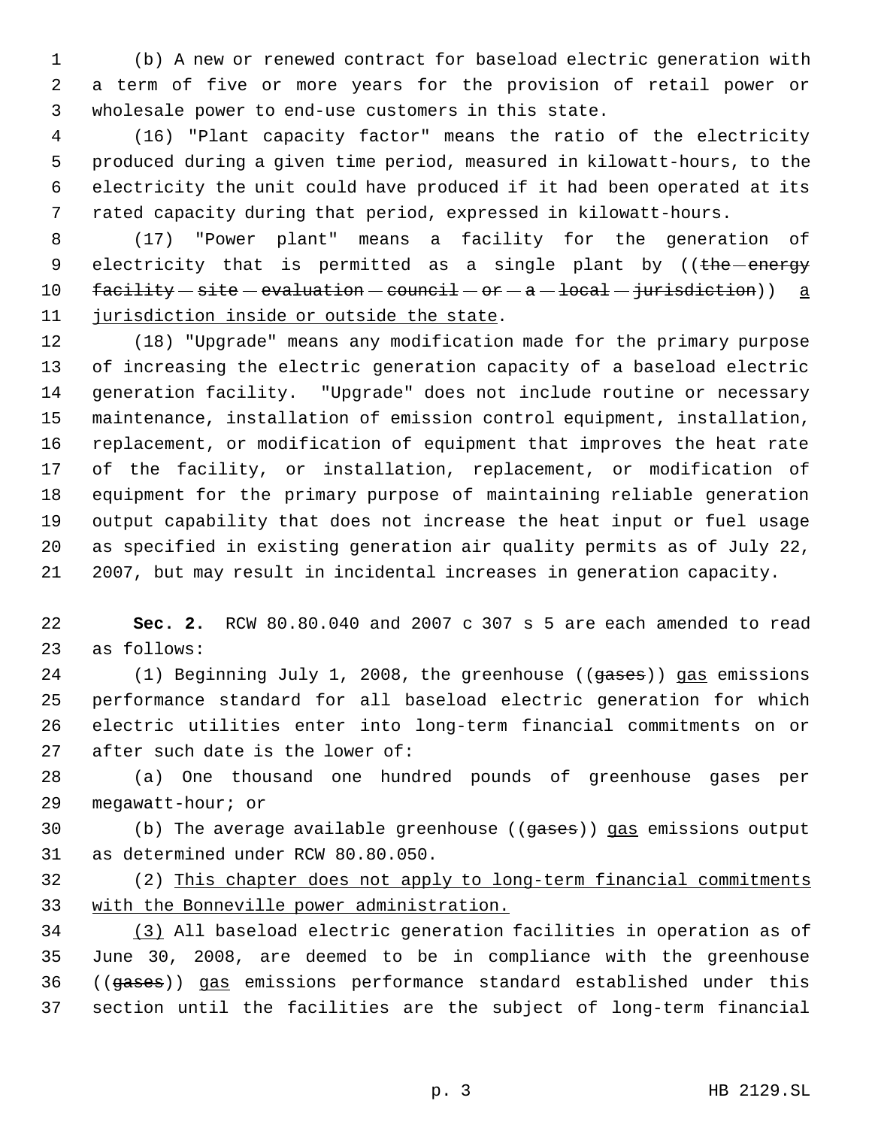(b) A new or renewed contract for baseload electric generation with a term of five or more years for the provision of retail power or wholesale power to end-use customers in this state.

 (16) "Plant capacity factor" means the ratio of the electricity produced during a given time period, measured in kilowatt-hours, to the electricity the unit could have produced if it had been operated at its rated capacity during that period, expressed in kilowatt-hours.

 (17) "Power plant" means a facility for the generation of 9 electricity that is permitted as a single plant by ((the energy  $f_{\text{acility}} - \text{site} - \text{evolution} - \text{countil} - \text{or} - \text{a} - \text{local} - \text{qurisdiction})$  a jurisdiction inside or outside the state.

 (18) "Upgrade" means any modification made for the primary purpose of increasing the electric generation capacity of a baseload electric generation facility. "Upgrade" does not include routine or necessary maintenance, installation of emission control equipment, installation, replacement, or modification of equipment that improves the heat rate of the facility, or installation, replacement, or modification of equipment for the primary purpose of maintaining reliable generation output capability that does not increase the heat input or fuel usage as specified in existing generation air quality permits as of July 22, 2007, but may result in incidental increases in generation capacity.

 **Sec. 2.** RCW 80.80.040 and 2007 c 307 s 5 are each amended to read as follows:

24 (1) Beginning July 1, 2008, the greenhouse ((gases)) gas emissions performance standard for all baseload electric generation for which electric utilities enter into long-term financial commitments on or after such date is the lower of:

 (a) One thousand one hundred pounds of greenhouse gases per megawatt-hour; or

30 (b) The average available greenhouse ((gases)) gas emissions output as determined under RCW 80.80.050.

 (2) This chapter does not apply to long-term financial commitments with the Bonneville power administration.

 (3) All baseload electric generation facilities in operation as of June 30, 2008, are deemed to be in compliance with the greenhouse ((gases)) gas emissions performance standard established under this section until the facilities are the subject of long-term financial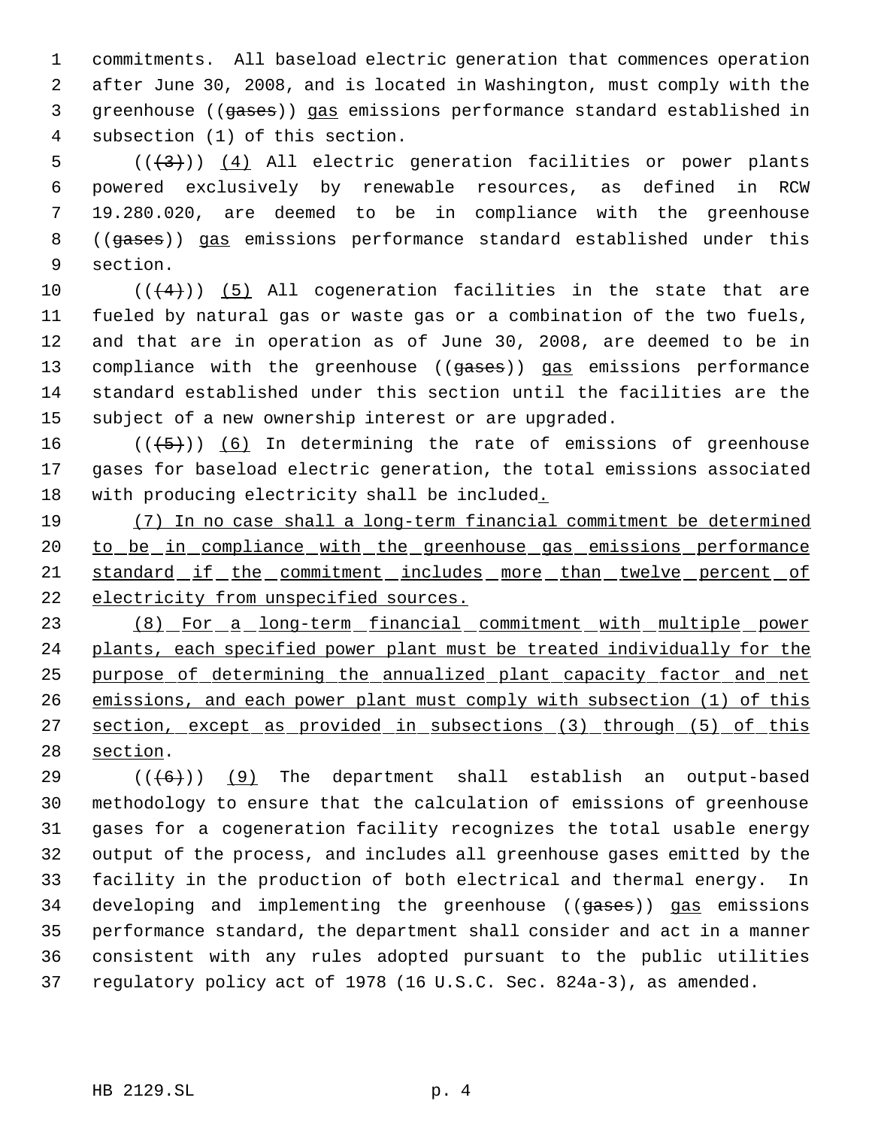commitments. All baseload electric generation that commences operation after June 30, 2008, and is located in Washington, must comply with the greenhouse ((gases)) gas emissions performance standard established in subsection (1) of this section.

 $((+3))$   $(4)$  All electric generation facilities or power plants powered exclusively by renewable resources, as defined in RCW 19.280.020, are deemed to be in compliance with the greenhouse 8 ((gases)) gas emissions performance standard established under this section.

 $((4+))$  (5) All cogeneration facilities in the state that are fueled by natural gas or waste gas or a combination of the two fuels, and that are in operation as of June 30, 2008, are deemed to be in 13 compliance with the greenhouse ((gases)) gas emissions performance standard established under this section until the facilities are the subject of a new ownership interest or are upgraded.

16  $((+5))$  (6) In determining the rate of emissions of greenhouse gases for baseload electric generation, the total emissions associated with producing electricity shall be included.

 (7) In no case shall a long-term financial commitment be determined 20 to be in compliance with the greenhouse gas emissions performance 21 standard if the commitment includes more than twelve percent of electricity from unspecified sources.

 (8) For a long-term financial commitment with multiple power plants, each specified power plant must be treated individually for the purpose of determining the annualized plant capacity factor and net 26 emissions, and each power plant must comply with subsection (1) of this 27 section, except as provided in subsections (3) through (5) of this section.

 $((6+))$  (9) The department shall establish an output-based methodology to ensure that the calculation of emissions of greenhouse gases for a cogeneration facility recognizes the total usable energy output of the process, and includes all greenhouse gases emitted by the facility in the production of both electrical and thermal energy. In 34 developing and implementing the greenhouse ((gases)) gas emissions performance standard, the department shall consider and act in a manner consistent with any rules adopted pursuant to the public utilities regulatory policy act of 1978 (16 U.S.C. Sec. 824a-3), as amended.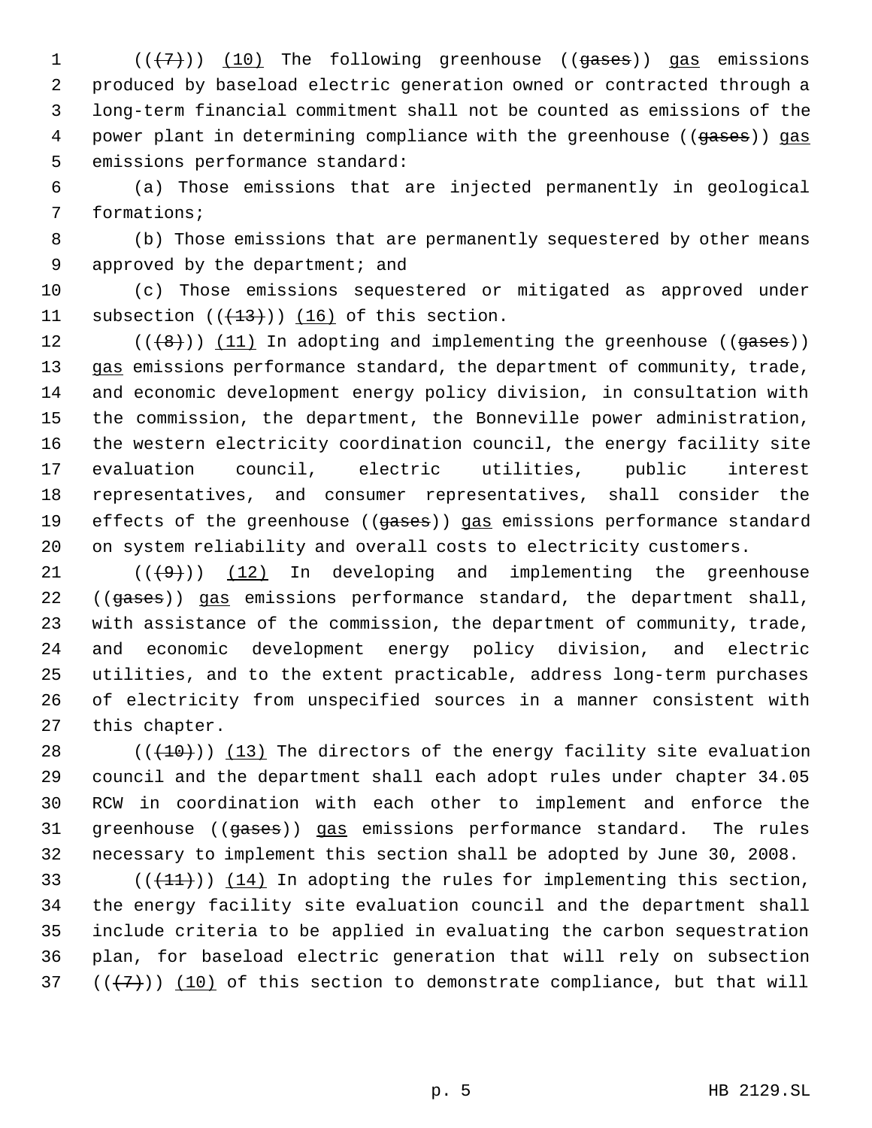$((+7))$   $(10)$  The following greenhouse  $((gases))$  gas emissions produced by baseload electric generation owned or contracted through a long-term financial commitment shall not be counted as emissions of the 4 power plant in determining compliance with the greenhouse ((gases)) gas emissions performance standard:

 (a) Those emissions that are injected permanently in geological formations;

 (b) Those emissions that are permanently sequestered by other means 9 approved by the department; and

 (c) Those emissions sequestered or mitigated as approved under 11 subsection  $((+13))$   $(16)$  of this section.

 $((\langle 8 \rangle)(11)$  In adopting and implementing the greenhouse ((gases)) 13 gas emissions performance standard, the department of community, trade, and economic development energy policy division, in consultation with the commission, the department, the Bonneville power administration, the western electricity coordination council, the energy facility site evaluation council, electric utilities, public interest representatives, and consumer representatives, shall consider the 19 effects of the greenhouse ((gases)) gas emissions performance standard on system reliability and overall costs to electricity customers.

 $((+9))$  (12) In developing and implementing the greenhouse 22 ((gases)) gas emissions performance standard, the department shall, with assistance of the commission, the department of community, trade, and economic development energy policy division, and electric utilities, and to the extent practicable, address long-term purchases of electricity from unspecified sources in a manner consistent with this chapter.

 $((+10))$   $(13)$  The directors of the energy facility site evaluation council and the department shall each adopt rules under chapter 34.05 RCW in coordination with each other to implement and enforce the 31 greenhouse ((gases)) gas emissions performance standard. The rules necessary to implement this section shall be adopted by June 30, 2008.

 $((+11))$   $(14)$  In adopting the rules for implementing this section, the energy facility site evaluation council and the department shall include criteria to be applied in evaluating the carbon sequestration plan, for baseload electric generation that will rely on subsection  $((+7))$   $(10)$  of this section to demonstrate compliance, but that will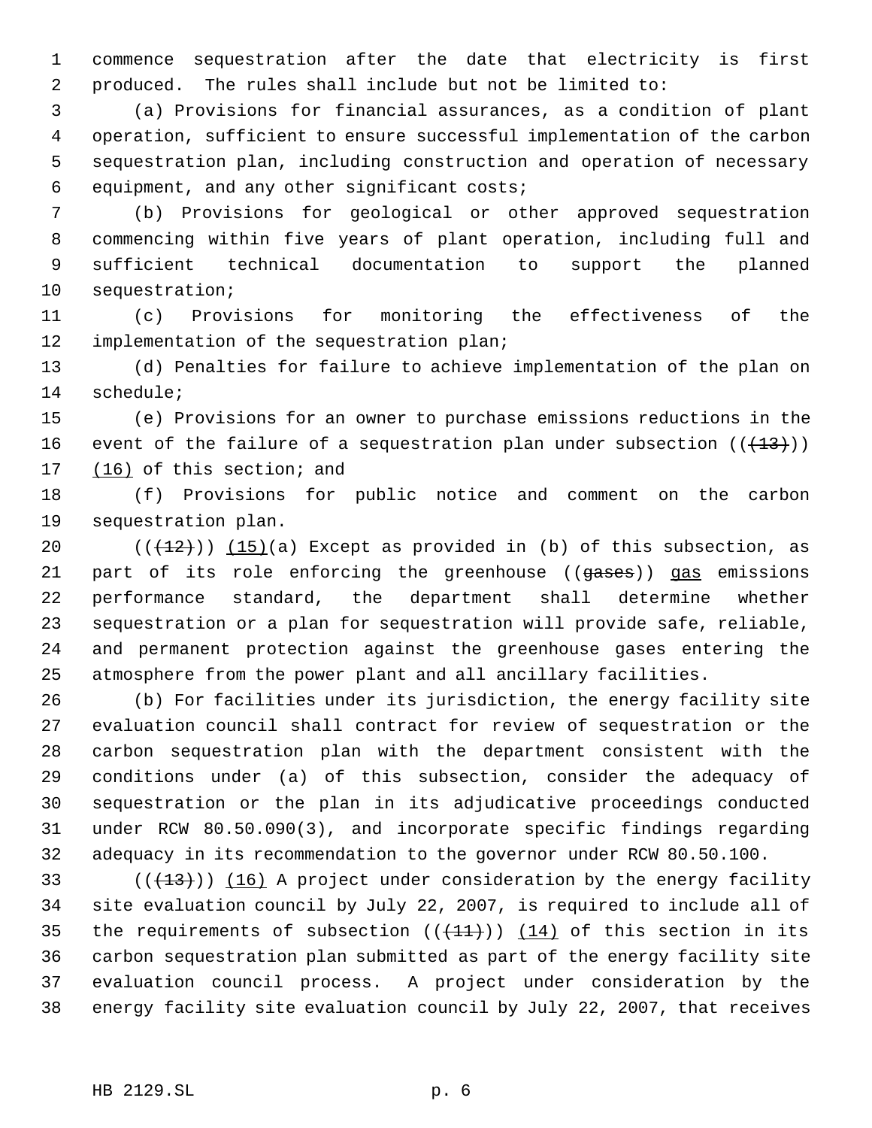commence sequestration after the date that electricity is first produced. The rules shall include but not be limited to:

 (a) Provisions for financial assurances, as a condition of plant operation, sufficient to ensure successful implementation of the carbon sequestration plan, including construction and operation of necessary equipment, and any other significant costs;

 (b) Provisions for geological or other approved sequestration commencing within five years of plant operation, including full and sufficient technical documentation to support the planned sequestration;

 (c) Provisions for monitoring the effectiveness of the 12 implementation of the sequestration plan;

 (d) Penalties for failure to achieve implementation of the plan on schedule;

 (e) Provisions for an owner to purchase emissions reductions in the 16 event of the failure of a sequestration plan under subsection  $((+13))$ 17 (16) of this section; and

 (f) Provisions for public notice and comment on the carbon sequestration plan.

 $((+12))$   $(15)(a)$  Except as provided in (b) of this subsection, as 21 part of its role enforcing the greenhouse ((gases)) gas emissions performance standard, the department shall determine whether sequestration or a plan for sequestration will provide safe, reliable, and permanent protection against the greenhouse gases entering the atmosphere from the power plant and all ancillary facilities.

 (b) For facilities under its jurisdiction, the energy facility site evaluation council shall contract for review of sequestration or the carbon sequestration plan with the department consistent with the conditions under (a) of this subsection, consider the adequacy of sequestration or the plan in its adjudicative proceedings conducted under RCW 80.50.090(3), and incorporate specific findings regarding adequacy in its recommendation to the governor under RCW 80.50.100.

 $((+13))$   $(16)$  A project under consideration by the energy facility site evaluation council by July 22, 2007, is required to include all of 35 the requirements of subsection  $((+11))$   $(14)$  of this section in its carbon sequestration plan submitted as part of the energy facility site evaluation council process. A project under consideration by the energy facility site evaluation council by July 22, 2007, that receives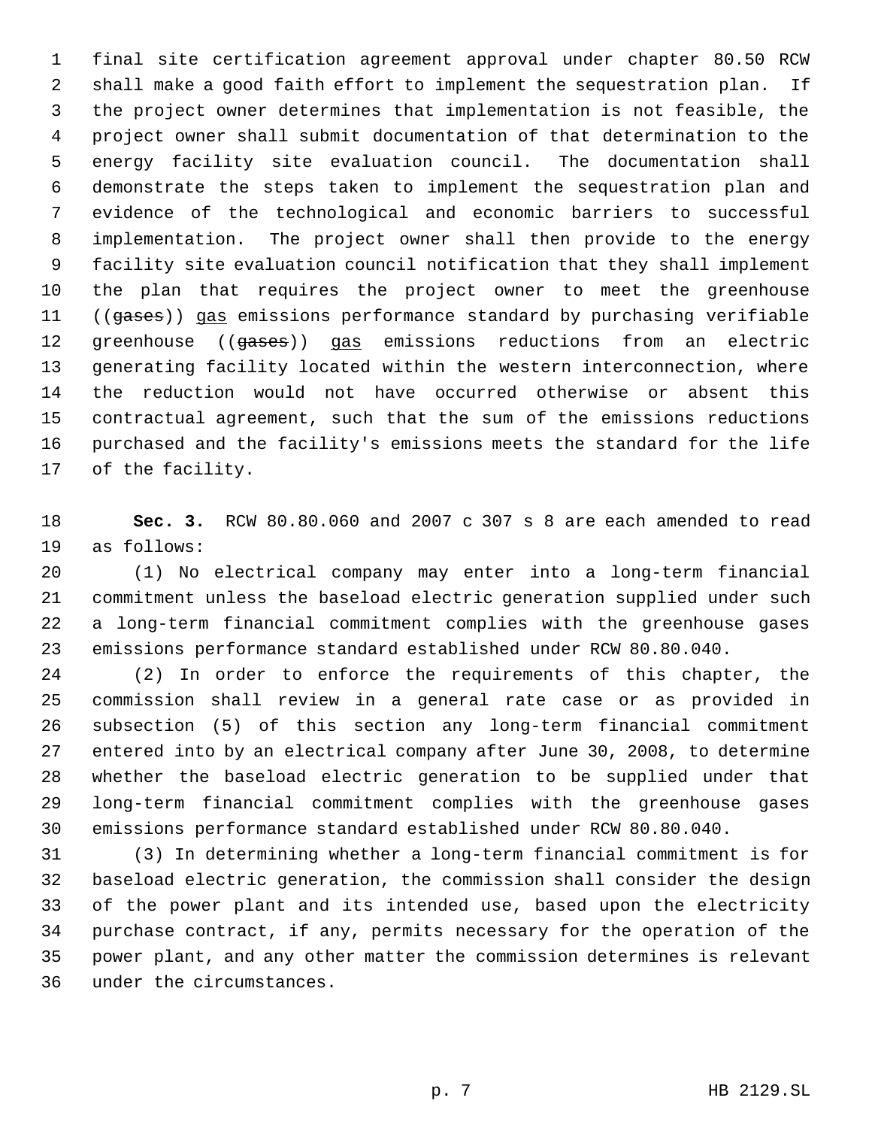final site certification agreement approval under chapter 80.50 RCW shall make a good faith effort to implement the sequestration plan. If the project owner determines that implementation is not feasible, the project owner shall submit documentation of that determination to the energy facility site evaluation council. The documentation shall demonstrate the steps taken to implement the sequestration plan and evidence of the technological and economic barriers to successful implementation. The project owner shall then provide to the energy facility site evaluation council notification that they shall implement the plan that requires the project owner to meet the greenhouse 11 ((gases)) gas emissions performance standard by purchasing verifiable 12 greenhouse ((gases)) gas emissions reductions from an electric generating facility located within the western interconnection, where the reduction would not have occurred otherwise or absent this contractual agreement, such that the sum of the emissions reductions purchased and the facility's emissions meets the standard for the life of the facility.

 **Sec. 3.** RCW 80.80.060 and 2007 c 307 s 8 are each amended to read as follows:

 (1) No electrical company may enter into a long-term financial commitment unless the baseload electric generation supplied under such a long-term financial commitment complies with the greenhouse gases emissions performance standard established under RCW 80.80.040.

 (2) In order to enforce the requirements of this chapter, the commission shall review in a general rate case or as provided in subsection (5) of this section any long-term financial commitment entered into by an electrical company after June 30, 2008, to determine whether the baseload electric generation to be supplied under that long-term financial commitment complies with the greenhouse gases emissions performance standard established under RCW 80.80.040.

 (3) In determining whether a long-term financial commitment is for baseload electric generation, the commission shall consider the design of the power plant and its intended use, based upon the electricity purchase contract, if any, permits necessary for the operation of the power plant, and any other matter the commission determines is relevant under the circumstances.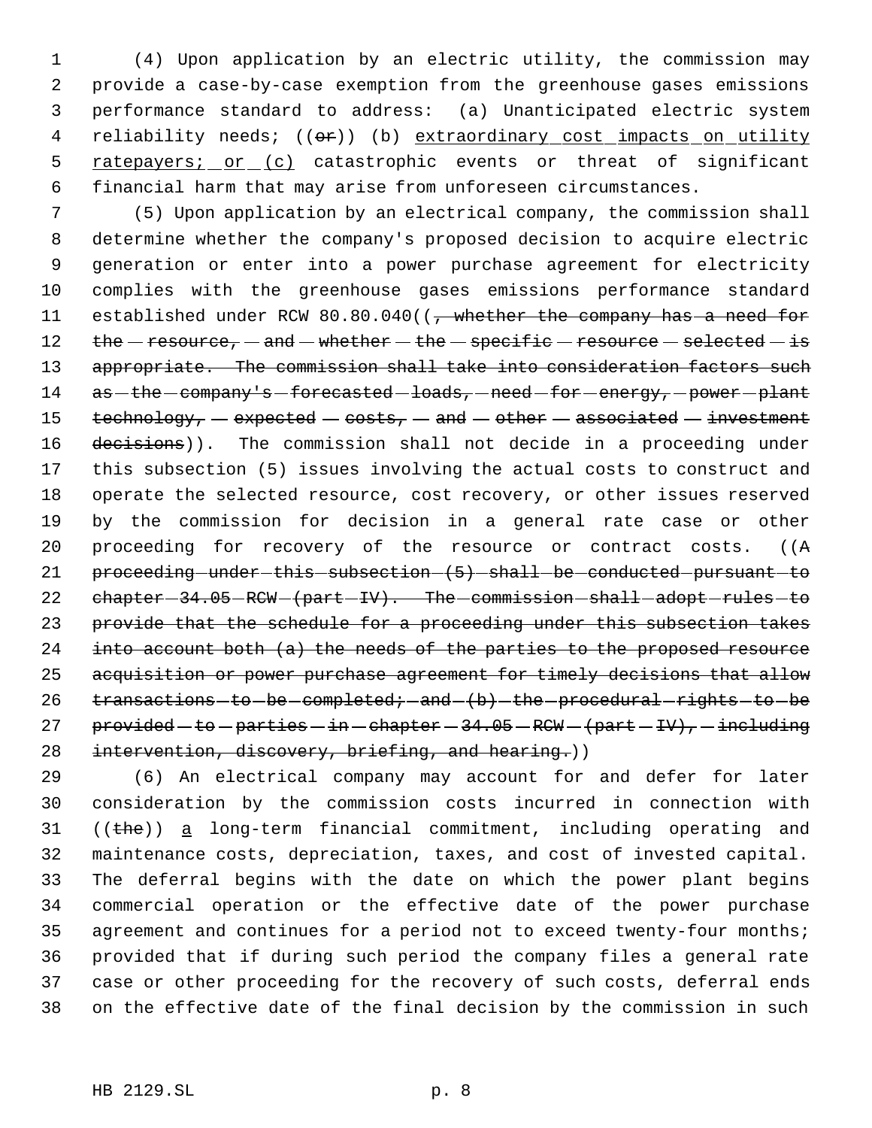(4) Upon application by an electric utility, the commission may provide a case-by-case exemption from the greenhouse gases emissions performance standard to address: (a) Unanticipated electric system 4 reliability needs; ((or)) (b) extraordinary cost impacts on utility 5 ratepayers: or (c) catastrophic events or threat of significant financial harm that may arise from unforeseen circumstances.

 (5) Upon application by an electrical company, the commission shall determine whether the company's proposed decision to acquire electric generation or enter into a power purchase agreement for electricity complies with the greenhouse gases emissions performance standard 11 established under RCW 80.80.040((, whether the company has a need for 12 the  $-$  resource,  $-$  and  $-$  whether  $-$  the  $-$  specific  $-$  resource  $-$  selected  $-$  is 13 appropriate. The commission shall take into consideration factors such 14 as - the - company's - forecasted - loads, - need - for - energy, - power - plant 15 technology,  $-$  expected  $-$  costs,  $-$  and  $-$  other  $-$  associated  $-$  investment 16 decisions)). The commission shall not decide in a proceeding under this subsection (5) issues involving the actual costs to construct and operate the selected resource, cost recovery, or other issues reserved by the commission for decision in a general rate case or other proceeding for recovery of the resource or contract costs. ((A 21 proceeding -under -this -subsection -  $(5)$  -shall -be -conducted -pursuant -to 22 chapter - 34.05 - RCW - (part - IV). The - commission - shall - adopt - rules - to provide that the schedule for a proceeding under this subsection takes 24 into account both (a) the needs of the parties to the proposed resource acquisition or power purchase agreement for timely decisions that allow transactions-to-be-completed; -and- $(b)$ -the-procedural-rights-to-be 27 provided  $-to$  -parties  $-in$  -chapter  $-34.05$  -RCW  $-(part - IV)$ ,  $-including$ 28 intervention, discovery, briefing, and hearing.))

 (6) An electrical company may account for and defer for later consideration by the commission costs incurred in connection with ((the)) a long-term financial commitment, including operating and maintenance costs, depreciation, taxes, and cost of invested capital. The deferral begins with the date on which the power plant begins commercial operation or the effective date of the power purchase 35 agreement and continues for a period not to exceed twenty-four months; provided that if during such period the company files a general rate case or other proceeding for the recovery of such costs, deferral ends on the effective date of the final decision by the commission in such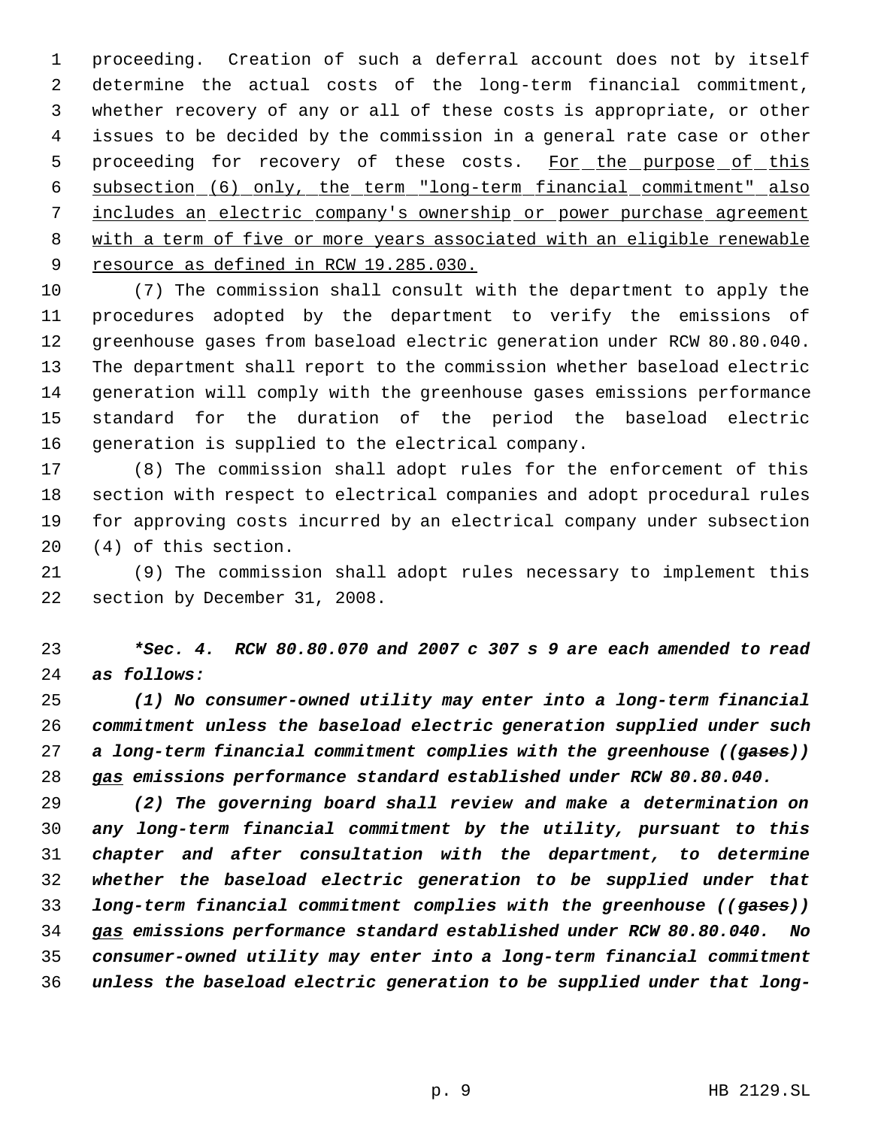proceeding. Creation of such a deferral account does not by itself determine the actual costs of the long-term financial commitment, whether recovery of any or all of these costs is appropriate, or other issues to be decided by the commission in a general rate case or other 5 proceeding for recovery of these costs. For the purpose of this subsection (6) only, the term "long-term financial commitment" also includes an electric company's ownership or power purchase agreement with a term of five or more years associated with an eligible renewable 9 resource as defined in RCW 19.285.030.

 (7) The commission shall consult with the department to apply the procedures adopted by the department to verify the emissions of greenhouse gases from baseload electric generation under RCW 80.80.040. The department shall report to the commission whether baseload electric generation will comply with the greenhouse gases emissions performance standard for the duration of the period the baseload electric generation is supplied to the electrical company.

 (8) The commission shall adopt rules for the enforcement of this section with respect to electrical companies and adopt procedural rules for approving costs incurred by an electrical company under subsection (4) of this section.

 (9) The commission shall adopt rules necessary to implement this section by December 31, 2008.

 *\*Sec. 4. RCW 80.80.070 and 2007 c 307 s 9 are each amended to read as follows:*

 *(1) No consumer-owned utility may enter into a long-term financial commitment unless the baseload electric generation supplied under such a long-term financial commitment complies with the greenhouse ((gases)) gas emissions performance standard established under RCW 80.80.040.*

 *(2) The governing board shall review and make a determination on any long-term financial commitment by the utility, pursuant to this chapter and after consultation with the department, to determine whether the baseload electric generation to be supplied under that long-term financial commitment complies with the greenhouse ((gases)) gas emissions performance standard established under RCW 80.80.040. No consumer-owned utility may enter into a long-term financial commitment unless the baseload electric generation to be supplied under that long-*